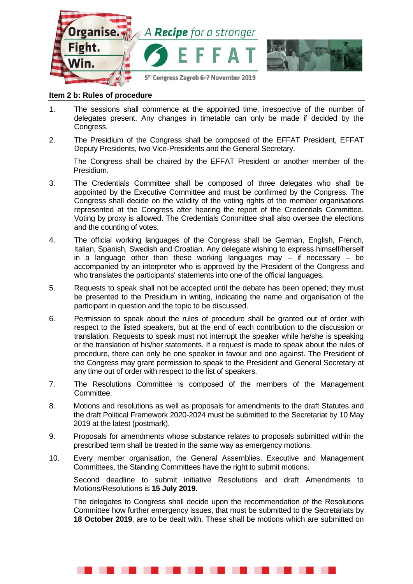

## **Item 2 b: Rules of procedure**

- 1. The sessions shall commence at the appointed time, irrespective of the number of delegates present. Any changes in timetable can only be made if decided by the Congress.
- 2. The Presidium of the Congress shall be composed of the EFFAT President, EFFAT Deputy Presidents, two Vice-Presidents and the General Secretary.

The Congress shall be chaired by the EFFAT President or another member of the Presidium.

- 3. The Credentials Committee shall be composed of three delegates who shall be appointed by the Executive Committee and must be confirmed by the Congress. The Congress shall decide on the validity of the voting rights of the member organisations represented at the Congress after hearing the report of the Credentials Committee. Voting by proxy is allowed. The Credentials Committee shall also oversee the elections and the counting of votes.
- 4. The official working languages of the Congress shall be German, English, French, Italian, Spanish, Swedish and Croatian. Any delegate wishing to express himself/herself in a language other than these working languages may  $-$  if necessary  $-$  be accompanied by an interpreter who is approved by the President of the Congress and who translates the participants' statements into one of the official languages.
- 5. Requests to speak shall not be accepted until the debate has been opened; they must be presented to the Presidium in writing, indicating the name and organisation of the participant in question and the topic to be discussed.
- 6. Permission to speak about the rules of procedure shall be granted out of order with respect to the listed speakers, but at the end of each contribution to the discussion or translation. Requests to speak must not interrupt the speaker while he/she is speaking or the translation of his/her statements. If a request is made to speak about the rules of procedure, there can only be one speaker in favour and one against. The President of the Congress may grant permission to speak to the President and General Secretary at any time out of order with respect to the list of speakers.
- 7. The Resolutions Committee is composed of the members of the Management Committee.
- 8. Motions and resolutions as well as proposals for amendments to the draft Statutes and the draft Political Framework 2020-2024 must be submitted to the Secretariat by 10 May 2019 at the latest (postmark).
- 9. Proposals for amendments whose substance relates to proposals submitted within the prescribed term shall be treated in the same way as emergency motions.
- 10. Every member organisation, the General Assemblies, Executive and Management Committees, the Standing Committees have the right to submit motions.

Second deadline to submit initiative Resolutions and draft Amendments to Motions/Resolutions is **15 July 2019.**

The delegates to Congress shall decide upon the recommendation of the Resolutions Committee how further emergency issues, that must be submitted to the Secretariats by **18 October 2019**, are to be dealt with. These shall be motions which are submitted on